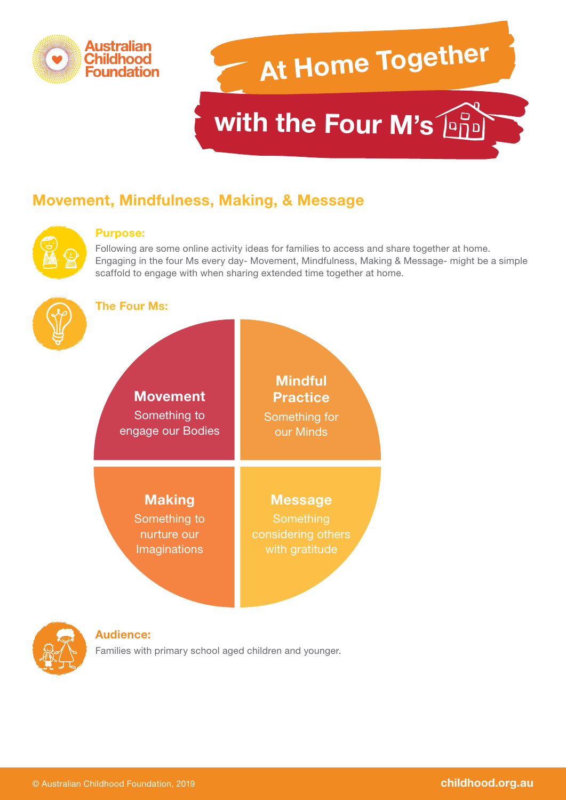

# **At Home Together with the Four M's [979]**

# **Movement, Mindfulness, Making, & Message**



#### **Purpose:**

Following are some online activity ideas for families to access and share together at home. Engaging in the four Ms every day- Movement, Mindfulness, Making & Message- might be a simple scaffold to engage with when sharing extended time together at home.



#### **The Four Ms:**





#### **Audience:**

Families with primary school aged children and younger.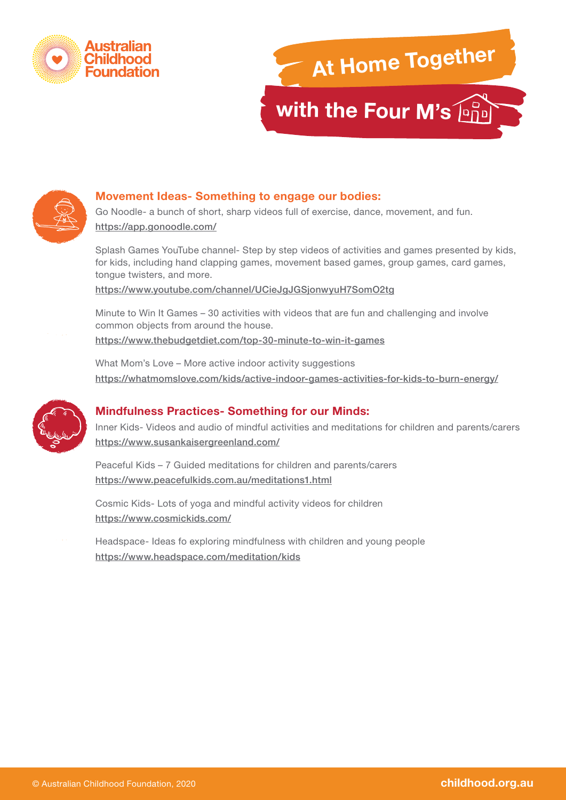





### **Movement Ideas- Something to engage our bodies:**

Go Noodle- a bunch of short, sharp videos full of exercise, dance, movement, and fun. <https://app.gonoodle.com/>

Splash Games YouTube channel- Step by step videos of activities and games presented by kids, for kids, including hand clapping games, movement based games, group games, card games, tongue twisters, and more.

<https://www.youtube.com/channel/UCieJgJGSjonwyuH7SomO2tg>

Minute to Win It Games – 30 activities with videos that are fun and challenging and involve common objects from around the house.

<https://www.thebudgetdiet.com/top-30-minute-to-win-it-games>

What Mom's Love – More active indoor activity suggestions <https://whatmomslove.com/kids/active-indoor-games-activities-for-kids-to-burn-energy/>



# **Mindfulness Practices- Something for our Minds:**

Inner Kids- Videos and audio of mindful activities and meditations for children and parents/carers <https://www.susankaisergreenland.com/>

Peaceful Kids – 7 Guided meditations for children and parents/carers <https://www.peacefulkids.com.au/meditations1.html>

Cosmic Kids- Lots of yoga and mindful activity videos for children <https://www.cosmickids.com/>

Headspace- Ideas fo exploring mindfulness with children and young people <https://www.headspace.com/meditation/kids>